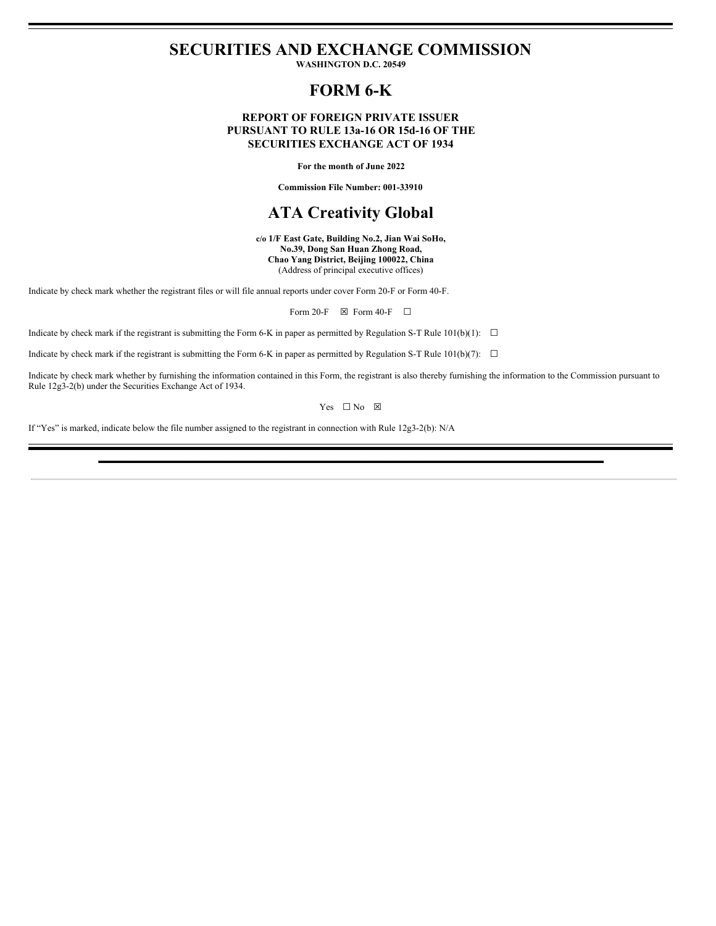# **SECURITIES AND EXCHANGE COMMISSION**

**WASHINGTON D.C. 20549**

# **FORM 6-K**

### **REPORT OF FOREIGN PRIVATE ISSUER PURSUANT TO RULE 13a-16 OR 15d-16 OF THE SECURITIES EXCHANGE ACT OF 1934**

**For the month of June 2022**

**Commission File Number: 001-33910**

# **ATA Creativity Global**

**c/o 1/F East Gate, Building No.2, Jian Wai SoHo, No.39, Dong San Huan Zhong Road, Chao Yang District, Beijing 100022, China** (Address of principal executive offices)

Indicate by check mark whether the registrant files or will file annual reports under cover Form 20-F or Form 40-F.

Form 20-F  $\boxtimes$  Form 40-F  $\Box$ 

Indicate by check mark if the registrant is submitting the Form 6-K in paper as permitted by Regulation S-T Rule 101(b)(1):  $\Box$ 

Indicate by check mark if the registrant is submitting the Form 6-K in paper as permitted by Regulation S-T Rule  $101(b)(7)$ :  $\Box$ 

Indicate by check mark whether by furnishing the information contained in this Form, the registrant is also thereby furnishing the information to the Commission pursuant to Rule 12g3-2(b) under the Securities Exchange Act of 1934.

Yes □ No ⊠

If "Yes" is marked, indicate below the file number assigned to the registrant in connection with Rule 12g3-2(b): N/A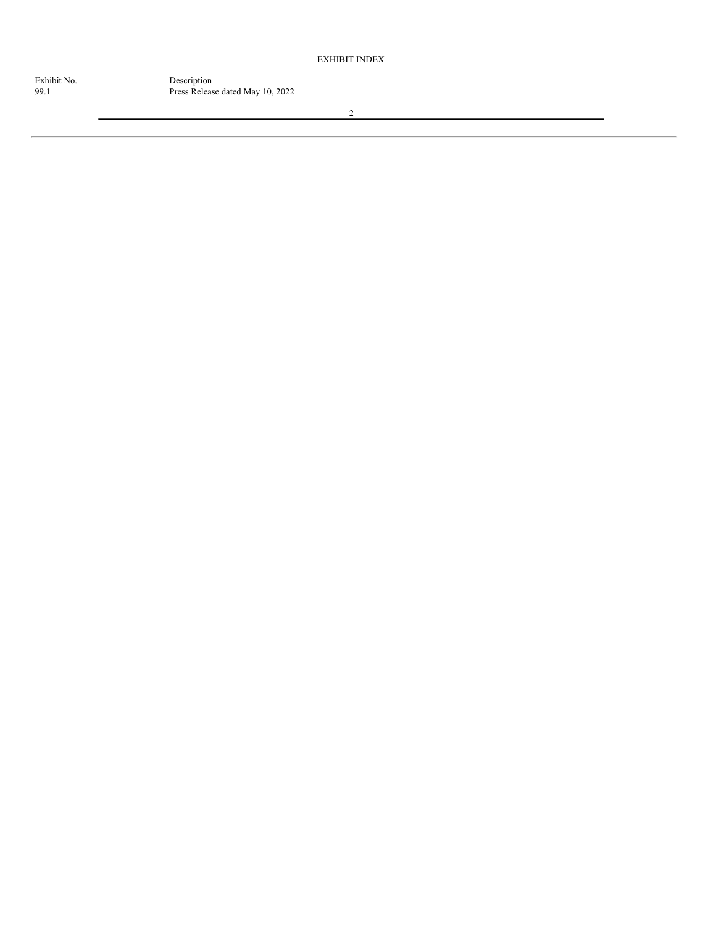EXHIBIT INDEX

Exhibit No. Description

99.1 Press Release dated May 10, 2022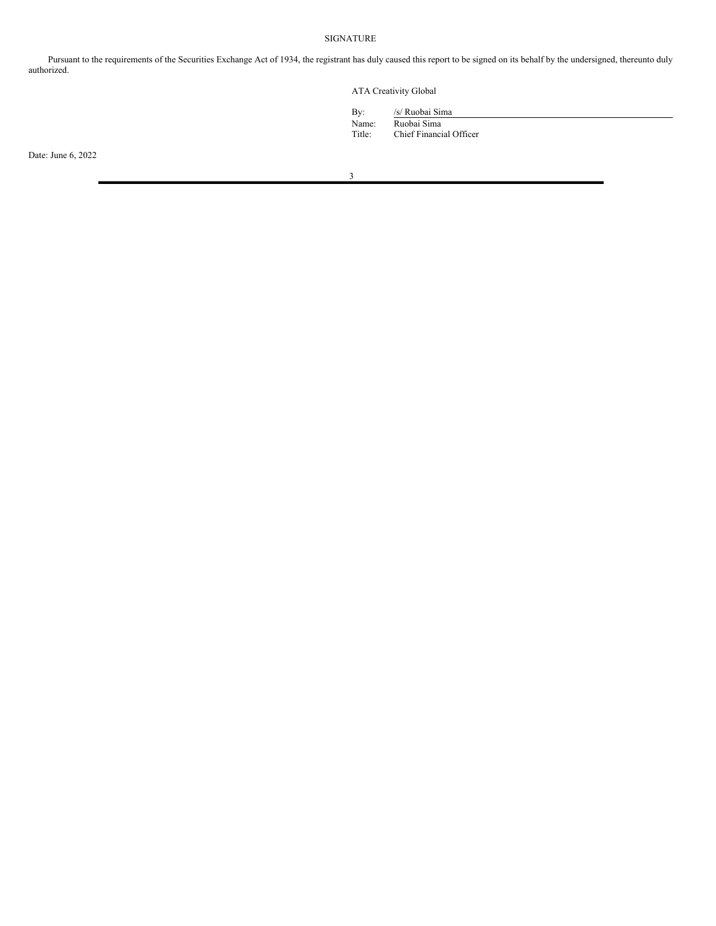## SIGNATURE

Pursuant to the requirements of the Securities Exchange Act of 1934, the registrant has duly caused this report to be signed on its behalf by the undersigned, thereunto duly authorized.

ATA Creativity Global

| By:    |  |
|--------|--|
| Name:  |  |
| Title: |  |

By: /s/ Ruobai Sima Name: Ruobai Sima

Chief Financial Officer

Date: June 6, 2022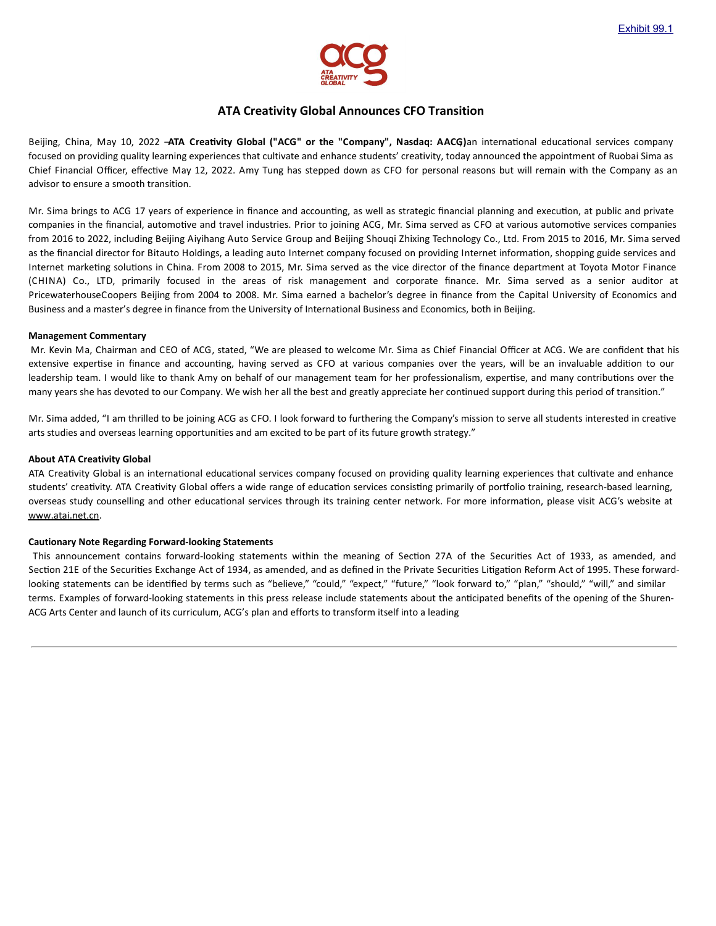

## **ATA Creativity Global Announces CFO Transition**

Beijing, China, May 10, 2022 -ATA Creativity Global ("ACG" or the "Company", Nasdaq: AACG)an international educational services company focused on providing quality learning experiences that cultivate and enhance students' creativity, today announced the appointment of Ruobai Sima as Chief Financial Officer, effective May 12, 2022. Amy Tung has stepped down as CFO for personal reasons but will remain with the Company as an advisor to ensure a smooth transition.

Mr. Sima brings to ACG 17 years of experience in finance and accounting, as well as strategic financial planning and execution, at public and private companies in the financial, automotive and travel industries. Prior to joining ACG, Mr. Sima served as CFO at various automotive services companies from 2016 to 2022, including Beijing Aiyihang Auto Service Group and Beijing Shouqi Zhixing Technology Co., Ltd. From 2015 to 2016, Mr. Sima served as the financial director for Bitauto Holdings, a leading auto Internet company focused on providing Internet information, shopping guide services and Internet marketing solutions in China. From 2008 to 2015, Mr. Sima served as the vice director of the finance department at Toyota Motor Finance (CHINA) Co., LTD, primarily focused in the areas of risk management and corporate finance. Mr. Sima served as a senior auditor at PricewaterhouseCoopers Beijing from 2004 to 2008. Mr. Sima earned a bachelor's degree in finance from the Capital University of Economics and Business and a master's degree in finance from the University of International Business and Economics, both in Beijing.

#### **Management Commentary**

Mr. Kevin Ma, Chairman and CEO of ACG, stated, "We are pleased to welcome Mr. Sima as Chief Financial Officer at ACG. We are confident that his extensive expertise in finance and accounting, having served as CFO at various companies over the years, will be an invaluable addition to our leadership team. I would like to thank Amy on behalf of our management team for her professionalism, expertise, and many contributions over the many years she has devoted to our Company. We wish her all the best and greatly appreciate her continued support during this period of transition."

Mr. Sima added, "I am thrilled to be joining ACG as CFO. I look forward to furthering the Company's mission to serve all students interested in creative arts studies and overseas learning opportunities and am excited to be part of its future growth strategy."

#### **About ATA Creativity Global**

ATA Creativity Global is an international educational services company focused on providing quality learning experiences that cultivate and enhance students' creativity. ATA Creativity Global offers a wide range of education services consisting primarily of portfolio training, research-based learning, overseas study counselling and other educational services through its training center network. For more information, please visit ACG's website at www.atai.net.cn.

### **Cautionary Note Regarding Forward-looking Statements**

This announcement contains forward-looking statements within the meaning of Section 27A of the Securities Act of 1933, as amended, and Section 21E of the Securities Exchange Act of 1934, as amended, and as defined in the Private Securities Litigation Reform Act of 1995. These forwardlooking statements can be identified by terms such as "believe," "could," "expect," "future," "look forward to," "plan," "should," "will," and similar terms. Examples of forward-looking statements in this press release include statements about the ancipated benefits of the opening of the Shuren-ACG Arts Center and launch of its curriculum, ACG's plan and efforts to transform itself into a leading